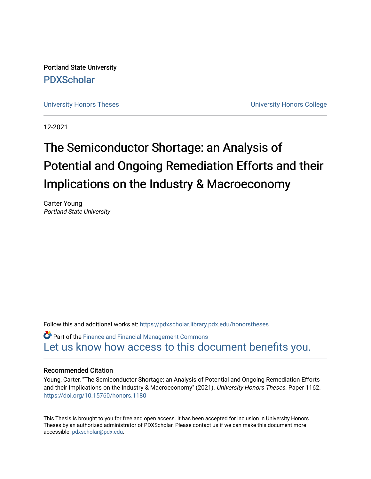Portland State University [PDXScholar](https://pdxscholar.library.pdx.edu/)

[University Honors Theses](https://pdxscholar.library.pdx.edu/honorstheses) **University Honors College** 

12-2021

# The Semiconductor Shortage: an Analysis of Potential and Ongoing Remediation Efforts and their Implications on the Industry & Macroeconomy

Carter Young Portland State University

Follow this and additional works at: [https://pdxscholar.library.pdx.edu/honorstheses](https://pdxscholar.library.pdx.edu/honorstheses?utm_source=pdxscholar.library.pdx.edu%2Fhonorstheses%2F1162&utm_medium=PDF&utm_campaign=PDFCoverPages) 

 $\bullet$  Part of the Finance and Financial Management Commons [Let us know how access to this document benefits you.](http://library.pdx.edu/services/pdxscholar-services/pdxscholar-feedback/) 

#### Recommended Citation

Young, Carter, "The Semiconductor Shortage: an Analysis of Potential and Ongoing Remediation Efforts and their Implications on the Industry & Macroeconomy" (2021). University Honors Theses. Paper 1162. <https://doi.org/10.15760/honors.1180>

This Thesis is brought to you for free and open access. It has been accepted for inclusion in University Honors Theses by an authorized administrator of PDXScholar. Please contact us if we can make this document more accessible: [pdxscholar@pdx.edu.](mailto:pdxscholar@pdx.edu)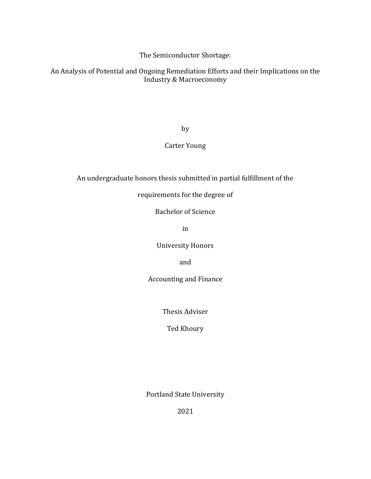The Semiconductor Shortage:

An Analysis of Potential and Ongoing Remediation Efforts and their Implications on the Industry & Macroeconomy

by

## Carter Young

An undergraduate honors thesis submitted in partial fulfillment of the

## requirements for the degree of

Bachelor of Science

in

University Honors

and

Accounting and Finance

Thesis Adviser

Ted Khoury

Portland State University

2021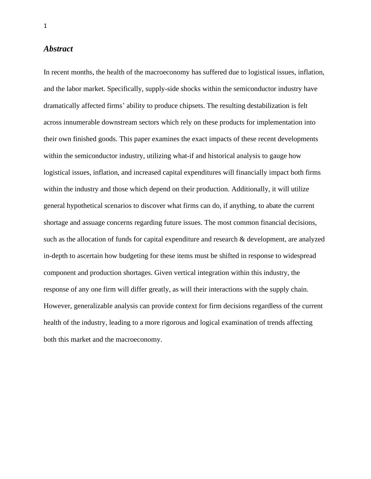#### *Abstract*

In recent months, the health of the macroeconomy has suffered due to logistical issues, inflation, and the labor market. Specifically, supply-side shocks within the semiconductor industry have dramatically affected firms' ability to produce chipsets. The resulting destabilization is felt across innumerable downstream sectors which rely on these products for implementation into their own finished goods. This paper examines the exact impacts of these recent developments within the semiconductor industry, utilizing what-if and historical analysis to gauge how logistical issues, inflation, and increased capital expenditures will financially impact both firms within the industry and those which depend on their production. Additionally, it will utilize general hypothetical scenarios to discover what firms can do, if anything, to abate the current shortage and assuage concerns regarding future issues. The most common financial decisions, such as the allocation of funds for capital expenditure and research & development, are analyzed in-depth to ascertain how budgeting for these items must be shifted in response to widespread component and production shortages. Given vertical integration within this industry, the response of any one firm will differ greatly, as will their interactions with the supply chain. However, generalizable analysis can provide context for firm decisions regardless of the current health of the industry, leading to a more rigorous and logical examination of trends affecting both this market and the macroeconomy.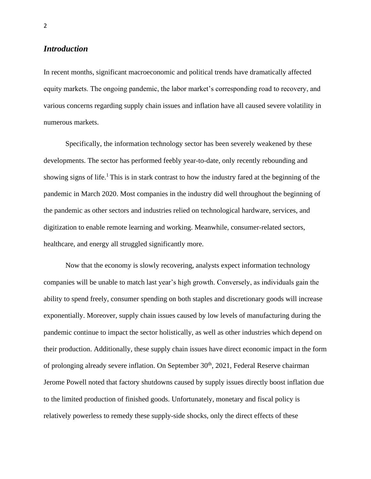## *Introduction*

In recent months, significant macroeconomic and political trends have dramatically affected equity markets. The ongoing pandemic, the labor market's corresponding road to recovery, and various concerns regarding supply chain issues and inflation have all caused severe volatility in numerous markets.

Specifically, the information technology sector has been severely weakened by these developments. The sector has performed feebly year-to-date, only recently rebounding and showing signs of life.<sup>1</sup>This is in stark contrast to how the industry fared at the beginning of the pandemic in March 2020. Most companies in the industry did well throughout the beginning of the pandemic as other sectors and industries relied on technological hardware, services, and digitization to enable remote learning and working. Meanwhile, consumer-related sectors, healthcare, and energy all struggled significantly more.

Now that the economy is slowly recovering, analysts expect information technology companies will be unable to match last year's high growth. Conversely, as individuals gain the ability to spend freely, consumer spending on both staples and discretionary goods will increase exponentially. Moreover, supply chain issues caused by low levels of manufacturing during the pandemic continue to impact the sector holistically, as well as other industries which depend on their production. Additionally, these supply chain issues have direct economic impact in the form of prolonging already severe inflation. On September 30<sup>th</sup>, 2021, Federal Reserve chairman Jerome Powell noted that factory shutdowns caused by supply issues directly boost inflation due to the limited production of finished goods. Unfortunately, monetary and fiscal policy is relatively powerless to remedy these supply-side shocks, only the direct effects of these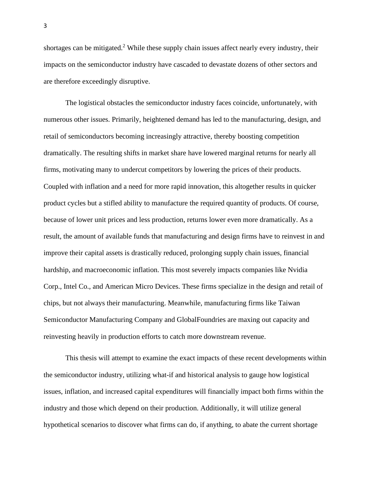shortages can be mitigated.<sup>2</sup> While these supply chain issues affect nearly every industry, their impacts on the semiconductor industry have cascaded to devastate dozens of other sectors and are therefore exceedingly disruptive.

The logistical obstacles the semiconductor industry faces coincide, unfortunately, with numerous other issues. Primarily, heightened demand has led to the manufacturing, design, and retail of semiconductors becoming increasingly attractive, thereby boosting competition dramatically. The resulting shifts in market share have lowered marginal returns for nearly all firms, motivating many to undercut competitors by lowering the prices of their products. Coupled with inflation and a need for more rapid innovation, this altogether results in quicker product cycles but a stifled ability to manufacture the required quantity of products. Of course, because of lower unit prices and less production, returns lower even more dramatically. As a result, the amount of available funds that manufacturing and design firms have to reinvest in and improve their capital assets is drastically reduced, prolonging supply chain issues, financial hardship, and macroeconomic inflation. This most severely impacts companies like Nvidia Corp., Intel Co., and American Micro Devices. These firms specialize in the design and retail of chips, but not always their manufacturing. Meanwhile, manufacturing firms like Taiwan Semiconductor Manufacturing Company and GlobalFoundries are maxing out capacity and reinvesting heavily in production efforts to catch more downstream revenue.

This thesis will attempt to examine the exact impacts of these recent developments within the semiconductor industry, utilizing what-if and historical analysis to gauge how logistical issues, inflation, and increased capital expenditures will financially impact both firms within the industry and those which depend on their production. Additionally, it will utilize general hypothetical scenarios to discover what firms can do, if anything, to abate the current shortage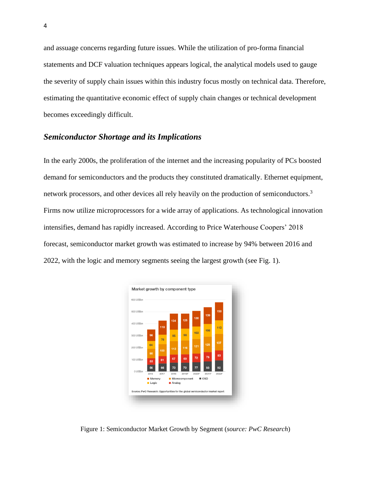and assuage concerns regarding future issues. While the utilization of pro-forma financial statements and DCF valuation techniques appears logical, the analytical models used to gauge the severity of supply chain issues within this industry focus mostly on technical data. Therefore, estimating the quantitative economic effect of supply chain changes or technical development becomes exceedingly difficult.

#### *Semiconductor Shortage and its Implications*

In the early 2000s, the proliferation of the internet and the increasing popularity of PCs boosted demand for semiconductors and the products they constituted dramatically. Ethernet equipment, network processors, and other devices all rely heavily on the production of semiconductors.<sup>3</sup> Firms now utilize microprocessors for a wide array of applications. As technological innovation intensifies, demand has rapidly increased. According to Price Waterhouse Coopers' 2018 forecast, semiconductor market growth was estimated to increase by 94% between 2016 and 2022, with the logic and memory segments seeing the largest growth (see Fig. 1).



Figure 1: Semiconductor Market Growth by Segment (*source: PwC Research*)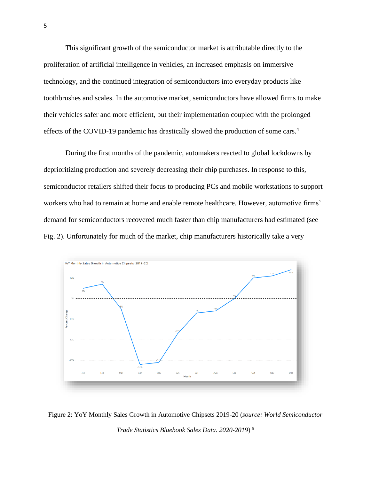This significant growth of the semiconductor market is attributable directly to the proliferation of artificial intelligence in vehicles, an increased emphasis on immersive technology, and the continued integration of semiconductors into everyday products like toothbrushes and scales. In the automotive market, semiconductors have allowed firms to make their vehicles safer and more efficient, but their implementation coupled with the prolonged effects of the COVID-19 pandemic has drastically slowed the production of some cars.<sup>4</sup>

During the first months of the pandemic, automakers reacted to global lockdowns by deprioritizing production and severely decreasing their chip purchases. In response to this, semiconductor retailers shifted their focus to producing PCs and mobile workstations to support workers who had to remain at home and enable remote healthcare. However, automotive firms' demand for semiconductors recovered much faster than chip manufacturers had estimated (see Fig. 2). Unfortunately for much of the market, chip manufacturers historically take a very



Figure 2: YoY Monthly Sales Growth in Automotive Chipsets 2019-20 (*source: World Semiconductor Trade Statistics Bluebook Sales Data. 2020-2019*) 5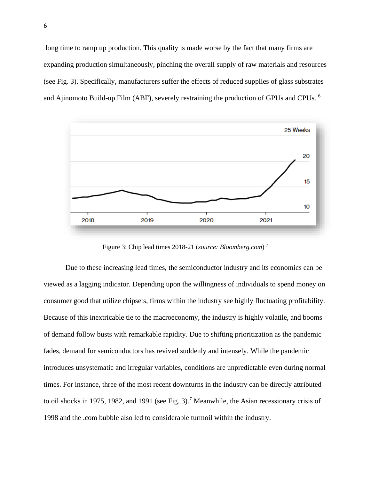long time to ramp up production. This quality is made worse by the fact that many firms are expanding production simultaneously, pinching the overall supply of raw materials and resources (see Fig. 3). Specifically, manufacturers suffer the effects of reduced supplies of glass substrates and Ajinomoto Build-up Film (ABF), severely restraining the production of GPUs and CPUs. <sup>6</sup>



Figure 3: Chip lead times 2018-21 (*source: Bloomberg.com*) 7

Due to these increasing lead times, the semiconductor industry and its economics can be viewed as a lagging indicator. Depending upon the willingness of individuals to spend money on consumer good that utilize chipsets, firms within the industry see highly fluctuating profitability. Because of this inextricable tie to the macroeconomy, the industry is highly volatile, and booms of demand follow busts with remarkable rapidity. Due to shifting prioritization as the pandemic fades, demand for semiconductors has revived suddenly and intensely. While the pandemic introduces unsystematic and irregular variables, conditions are unpredictable even during normal times. For instance, three of the most recent downturns in the industry can be directly attributed to oil shocks in 1975, 1982, and 1991 (see Fig. 3).<sup>7</sup> Meanwhile, the Asian recessionary crisis of 1998 and the .com bubble also led to considerable turmoil within the industry.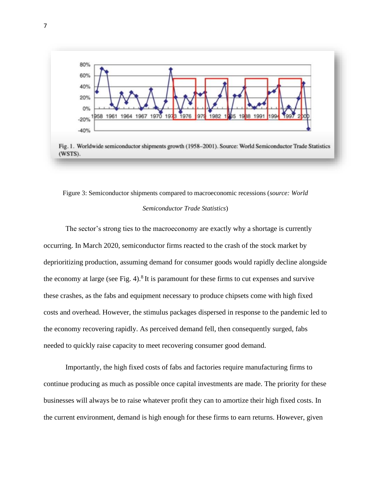

## Figure 3: Semiconductor shipments compared to macroeconomic recessions (*source: World*

#### *Semiconductor Trade Statistics*)

The sector's strong ties to the macroeconomy are exactly why a shortage is currently occurring. In March 2020, semiconductor firms reacted to the crash of the stock market by deprioritizing production, assuming demand for consumer goods would rapidly decline alongside the economy at large (see Fig. 4).<sup>8</sup> It is paramount for these firms to cut expenses and survive these crashes, as the fabs and equipment necessary to produce chipsets come with high fixed costs and overhead. However, the stimulus packages dispersed in response to the pandemic led to the economy recovering rapidly. As perceived demand fell, then consequently surged, fabs needed to quickly raise capacity to meet recovering consumer good demand.

Importantly, the high fixed costs of fabs and factories require manufacturing firms to continue producing as much as possible once capital investments are made. The priority for these businesses will always be to raise whatever profit they can to amortize their high fixed costs. In the current environment, demand is high enough for these firms to earn returns. However, given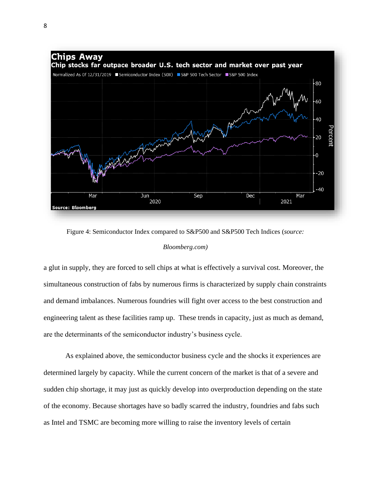

Figure 4: Semiconductor Index compared to S&P500 and S&P500 Tech Indices (*source:* 

#### *Bloomberg.com)*

a glut in supply, they are forced to sell chips at what is effectively a survival cost. Moreover, the simultaneous construction of fabs by numerous firms is characterized by supply chain constraints and demand imbalances. Numerous foundries will fight over access to the best construction and engineering talent as these facilities ramp up. These trends in capacity, just as much as demand, are the determinants of the semiconductor industry's business cycle.

As explained above, the semiconductor business cycle and the shocks it experiences are determined largely by capacity. While the current concern of the market is that of a severe and sudden chip shortage, it may just as quickly develop into overproduction depending on the state of the economy. Because shortages have so badly scarred the industry, foundries and fabs such as Intel and TSMC are becoming more willing to raise the inventory levels of certain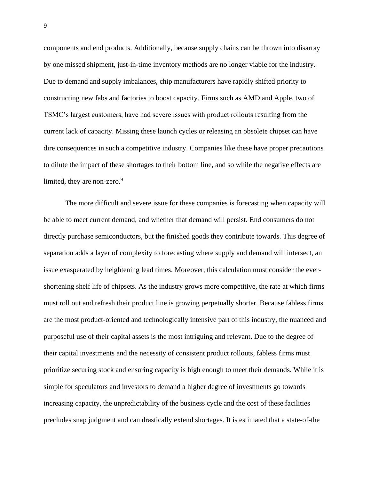components and end products. Additionally, because supply chains can be thrown into disarray by one missed shipment, just-in-time inventory methods are no longer viable for the industry. Due to demand and supply imbalances, chip manufacturers have rapidly shifted priority to constructing new fabs and factories to boost capacity. Firms such as AMD and Apple, two of TSMC's largest customers, have had severe issues with product rollouts resulting from the current lack of capacity. Missing these launch cycles or releasing an obsolete chipset can have dire consequences in such a competitive industry. Companies like these have proper precautions to dilute the impact of these shortages to their bottom line, and so while the negative effects are limited, they are non-zero. $9$ 

The more difficult and severe issue for these companies is forecasting when capacity will be able to meet current demand, and whether that demand will persist. End consumers do not directly purchase semiconductors, but the finished goods they contribute towards. This degree of separation adds a layer of complexity to forecasting where supply and demand will intersect, an issue exasperated by heightening lead times. Moreover, this calculation must consider the evershortening shelf life of chipsets. As the industry grows more competitive, the rate at which firms must roll out and refresh their product line is growing perpetually shorter. Because fabless firms are the most product-oriented and technologically intensive part of this industry, the nuanced and purposeful use of their capital assets is the most intriguing and relevant. Due to the degree of their capital investments and the necessity of consistent product rollouts, fabless firms must prioritize securing stock and ensuring capacity is high enough to meet their demands. While it is simple for speculators and investors to demand a higher degree of investments go towards increasing capacity, the unpredictability of the business cycle and the cost of these facilities precludes snap judgment and can drastically extend shortages. It is estimated that a state-of-the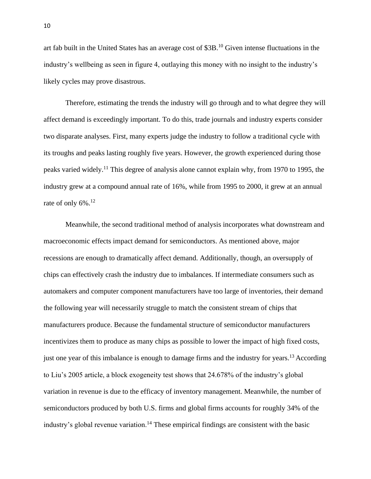art fab built in the United States has an average cost of \$3B.<sup>10</sup> Given intense fluctuations in the industry's wellbeing as seen in figure 4, outlaying this money with no insight to the industry's likely cycles may prove disastrous.

Therefore, estimating the trends the industry will go through and to what degree they will affect demand is exceedingly important. To do this, trade journals and industry experts consider two disparate analyses. First, many experts judge the industry to follow a traditional cycle with its troughs and peaks lasting roughly five years. However, the growth experienced during those peaks varied widely.<sup>11</sup> This degree of analysis alone cannot explain why, from 1970 to 1995, the industry grew at a compound annual rate of 16%, while from 1995 to 2000, it grew at an annual rate of only  $6\%$ <sup>12</sup>

Meanwhile, the second traditional method of analysis incorporates what downstream and macroeconomic effects impact demand for semiconductors. As mentioned above, major recessions are enough to dramatically affect demand. Additionally, though, an oversupply of chips can effectively crash the industry due to imbalances. If intermediate consumers such as automakers and computer component manufacturers have too large of inventories, their demand the following year will necessarily struggle to match the consistent stream of chips that manufacturers produce. Because the fundamental structure of semiconductor manufacturers incentivizes them to produce as many chips as possible to lower the impact of high fixed costs, just one year of this imbalance is enough to damage firms and the industry for years.<sup>13</sup> According to Liu's 2005 article, a block exogeneity test shows that 24.678% of the industry's global variation in revenue is due to the efficacy of inventory management. Meanwhile, the number of semiconductors produced by both U.S. firms and global firms accounts for roughly 34% of the industry's global revenue variation.<sup>14</sup> These empirical findings are consistent with the basic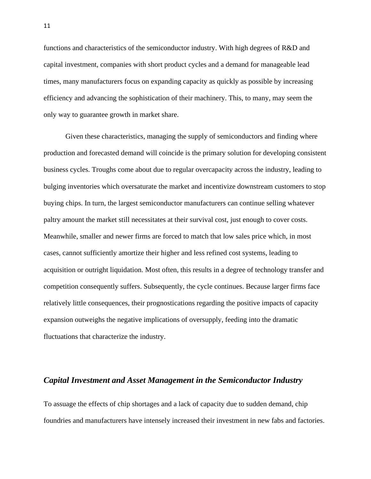functions and characteristics of the semiconductor industry. With high degrees of R&D and capital investment, companies with short product cycles and a demand for manageable lead times, many manufacturers focus on expanding capacity as quickly as possible by increasing efficiency and advancing the sophistication of their machinery. This, to many, may seem the only way to guarantee growth in market share.

Given these characteristics, managing the supply of semiconductors and finding where production and forecasted demand will coincide is the primary solution for developing consistent business cycles. Troughs come about due to regular overcapacity across the industry, leading to bulging inventories which oversaturate the market and incentivize downstream customers to stop buying chips. In turn, the largest semiconductor manufacturers can continue selling whatever paltry amount the market still necessitates at their survival cost, just enough to cover costs. Meanwhile, smaller and newer firms are forced to match that low sales price which, in most cases, cannot sufficiently amortize their higher and less refined cost systems, leading to acquisition or outright liquidation. Most often, this results in a degree of technology transfer and competition consequently suffers. Subsequently, the cycle continues. Because larger firms face relatively little consequences, their prognostications regarding the positive impacts of capacity expansion outweighs the negative implications of oversupply, feeding into the dramatic fluctuations that characterize the industry.

## *Capital Investment and Asset Management in the Semiconductor Industry*

To assuage the effects of chip shortages and a lack of capacity due to sudden demand, chip foundries and manufacturers have intensely increased their investment in new fabs and factories.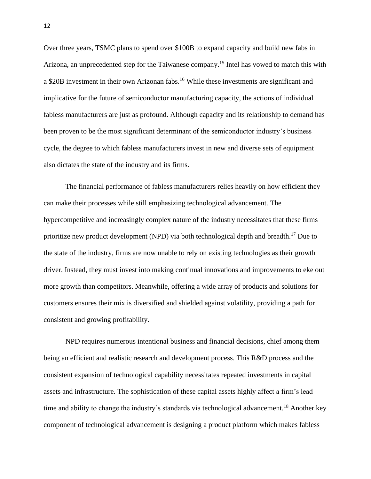Over three years, TSMC plans to spend over \$100B to expand capacity and build new fabs in Arizona, an unprecedented step for the Taiwanese company.<sup>15</sup> Intel has vowed to match this with a \$20B investment in their own Arizonan fabs.<sup>16</sup> While these investments are significant and implicative for the future of semiconductor manufacturing capacity, the actions of individual fabless manufacturers are just as profound. Although capacity and its relationship to demand has been proven to be the most significant determinant of the semiconductor industry's business cycle, the degree to which fabless manufacturers invest in new and diverse sets of equipment also dictates the state of the industry and its firms.

The financial performance of fabless manufacturers relies heavily on how efficient they can make their processes while still emphasizing technological advancement. The hypercompetitive and increasingly complex nature of the industry necessitates that these firms prioritize new product development (NPD) via both technological depth and breadth.<sup>17</sup> Due to the state of the industry, firms are now unable to rely on existing technologies as their growth driver. Instead, they must invest into making continual innovations and improvements to eke out more growth than competitors. Meanwhile, offering a wide array of products and solutions for customers ensures their mix is diversified and shielded against volatility, providing a path for consistent and growing profitability.

NPD requires numerous intentional business and financial decisions, chief among them being an efficient and realistic research and development process. This R&D process and the consistent expansion of technological capability necessitates repeated investments in capital assets and infrastructure. The sophistication of these capital assets highly affect a firm's lead time and ability to change the industry's standards via technological advancement.<sup>18</sup> Another key component of technological advancement is designing a product platform which makes fabless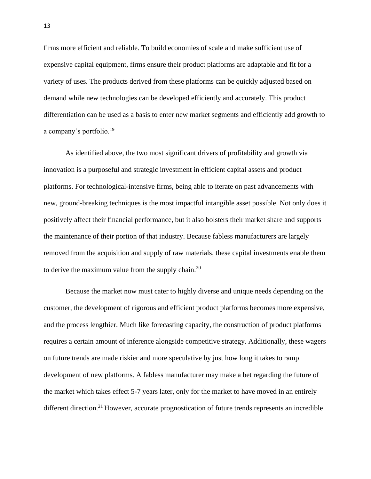firms more efficient and reliable. To build economies of scale and make sufficient use of expensive capital equipment, firms ensure their product platforms are adaptable and fit for a variety of uses. The products derived from these platforms can be quickly adjusted based on demand while new technologies can be developed efficiently and accurately. This product differentiation can be used as a basis to enter new market segments and efficiently add growth to a company's portfolio.<sup>19</sup>

As identified above, the two most significant drivers of profitability and growth via innovation is a purposeful and strategic investment in efficient capital assets and product platforms. For technological-intensive firms, being able to iterate on past advancements with new, ground-breaking techniques is the most impactful intangible asset possible. Not only does it positively affect their financial performance, but it also bolsters their market share and supports the maintenance of their portion of that industry. Because fabless manufacturers are largely removed from the acquisition and supply of raw materials, these capital investments enable them to derive the maximum value from the supply chain.<sup>20</sup>

Because the market now must cater to highly diverse and unique needs depending on the customer, the development of rigorous and efficient product platforms becomes more expensive, and the process lengthier. Much like forecasting capacity, the construction of product platforms requires a certain amount of inference alongside competitive strategy. Additionally, these wagers on future trends are made riskier and more speculative by just how long it takes to ramp development of new platforms. A fabless manufacturer may make a bet regarding the future of the market which takes effect 5-7 years later, only for the market to have moved in an entirely different direction.<sup>21</sup> However, accurate prognostication of future trends represents an incredible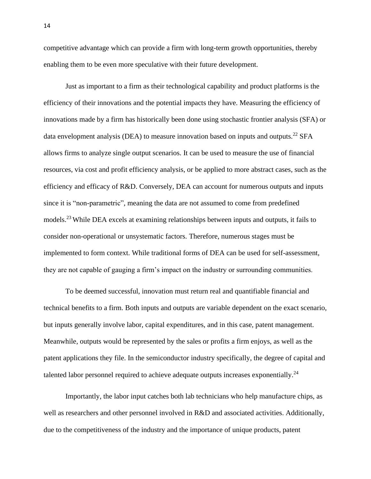competitive advantage which can provide a firm with long-term growth opportunities, thereby enabling them to be even more speculative with their future development.

Just as important to a firm as their technological capability and product platforms is the efficiency of their innovations and the potential impacts they have. Measuring the efficiency of innovations made by a firm has historically been done using stochastic frontier analysis (SFA) or data envelopment analysis (DEA) to measure innovation based on inputs and outputs.<sup>22</sup> SFA allows firms to analyze single output scenarios. It can be used to measure the use of financial resources, via cost and profit efficiency analysis, or be applied to more abstract cases, such as the efficiency and efficacy of R&D. Conversely, DEA can account for numerous outputs and inputs since it is "non-parametric", meaning the data are not assumed to come from predefined models. <sup>23</sup> While DEA excels at examining relationships between inputs and outputs, it fails to consider non-operational or unsystematic factors. Therefore, numerous stages must be implemented to form context. While traditional forms of DEA can be used for self-assessment, they are not capable of gauging a firm's impact on the industry or surrounding communities.

To be deemed successful, innovation must return real and quantifiable financial and technical benefits to a firm. Both inputs and outputs are variable dependent on the exact scenario, but inputs generally involve labor, capital expenditures, and in this case, patent management. Meanwhile, outputs would be represented by the sales or profits a firm enjoys, as well as the patent applications they file. In the semiconductor industry specifically, the degree of capital and talented labor personnel required to achieve adequate outputs increases exponentially.<sup>24</sup>

Importantly, the labor input catches both lab technicians who help manufacture chips, as well as researchers and other personnel involved in R&D and associated activities. Additionally, due to the competitiveness of the industry and the importance of unique products, patent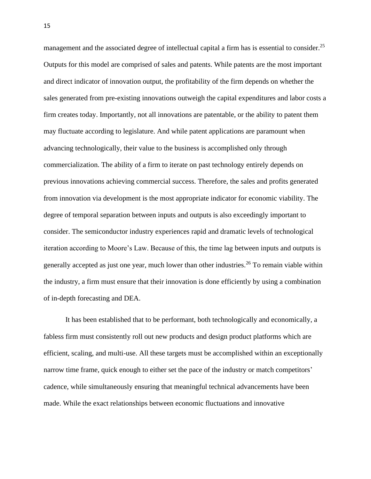management and the associated degree of intellectual capital a firm has is essential to consider.<sup>25</sup> Outputs for this model are comprised of sales and patents. While patents are the most important and direct indicator of innovation output, the profitability of the firm depends on whether the sales generated from pre-existing innovations outweigh the capital expenditures and labor costs a firm creates today. Importantly, not all innovations are patentable, or the ability to patent them may fluctuate according to legislature. And while patent applications are paramount when advancing technologically, their value to the business is accomplished only through commercialization. The ability of a firm to iterate on past technology entirely depends on previous innovations achieving commercial success. Therefore, the sales and profits generated from innovation via development is the most appropriate indicator for economic viability. The degree of temporal separation between inputs and outputs is also exceedingly important to consider. The semiconductor industry experiences rapid and dramatic levels of technological iteration according to Moore's Law. Because of this, the time lag between inputs and outputs is generally accepted as just one year, much lower than other industries.<sup>26</sup> To remain viable within the industry, a firm must ensure that their innovation is done efficiently by using a combination of in-depth forecasting and DEA.

It has been established that to be performant, both technologically and economically, a fabless firm must consistently roll out new products and design product platforms which are efficient, scaling, and multi-use. All these targets must be accomplished within an exceptionally narrow time frame, quick enough to either set the pace of the industry or match competitors' cadence, while simultaneously ensuring that meaningful technical advancements have been made. While the exact relationships between economic fluctuations and innovative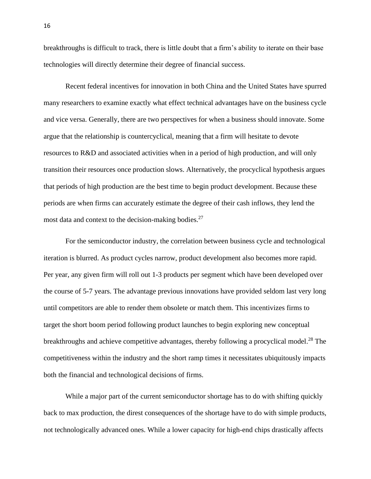breakthroughs is difficult to track, there is little doubt that a firm's ability to iterate on their base technologies will directly determine their degree of financial success.

Recent federal incentives for innovation in both China and the United States have spurred many researchers to examine exactly what effect technical advantages have on the business cycle and vice versa. Generally, there are two perspectives for when a business should innovate. Some argue that the relationship is countercyclical, meaning that a firm will hesitate to devote resources to R&D and associated activities when in a period of high production, and will only transition their resources once production slows. Alternatively, the procyclical hypothesis argues that periods of high production are the best time to begin product development. Because these periods are when firms can accurately estimate the degree of their cash inflows, they lend the most data and context to the decision-making bodies.<sup>27</sup>

For the semiconductor industry, the correlation between business cycle and technological iteration is blurred. As product cycles narrow, product development also becomes more rapid. Per year, any given firm will roll out 1-3 products per segment which have been developed over the course of 5-7 years. The advantage previous innovations have provided seldom last very long until competitors are able to render them obsolete or match them. This incentivizes firms to target the short boom period following product launches to begin exploring new conceptual breakthroughs and achieve competitive advantages, thereby following a procyclical model.<sup>28</sup> The competitiveness within the industry and the short ramp times it necessitates ubiquitously impacts both the financial and technological decisions of firms.

While a major part of the current semiconductor shortage has to do with shifting quickly back to max production, the direst consequences of the shortage have to do with simple products, not technologically advanced ones. While a lower capacity for high-end chips drastically affects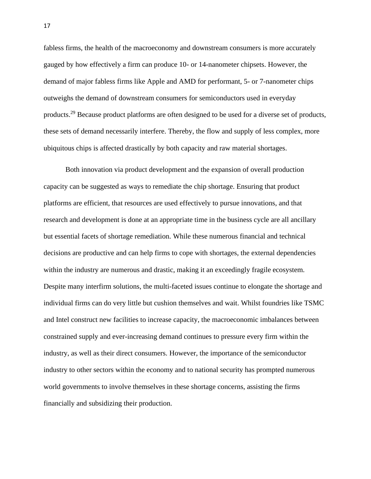fabless firms, the health of the macroeconomy and downstream consumers is more accurately gauged by how effectively a firm can produce 10- or 14-nanometer chipsets. However, the demand of major fabless firms like Apple and AMD for performant, 5- or 7-nanometer chips outweighs the demand of downstream consumers for semiconductors used in everyday products.<sup>29</sup> Because product platforms are often designed to be used for a diverse set of products, these sets of demand necessarily interfere. Thereby, the flow and supply of less complex, more ubiquitous chips is affected drastically by both capacity and raw material shortages.

Both innovation via product development and the expansion of overall production capacity can be suggested as ways to remediate the chip shortage. Ensuring that product platforms are efficient, that resources are used effectively to pursue innovations, and that research and development is done at an appropriate time in the business cycle are all ancillary but essential facets of shortage remediation. While these numerous financial and technical decisions are productive and can help firms to cope with shortages, the external dependencies within the industry are numerous and drastic, making it an exceedingly fragile ecosystem. Despite many interfirm solutions, the multi-faceted issues continue to elongate the shortage and individual firms can do very little but cushion themselves and wait. Whilst foundries like TSMC and Intel construct new facilities to increase capacity, the macroeconomic imbalances between constrained supply and ever-increasing demand continues to pressure every firm within the industry, as well as their direct consumers. However, the importance of the semiconductor industry to other sectors within the economy and to national security has prompted numerous world governments to involve themselves in these shortage concerns, assisting the firms financially and subsidizing their production.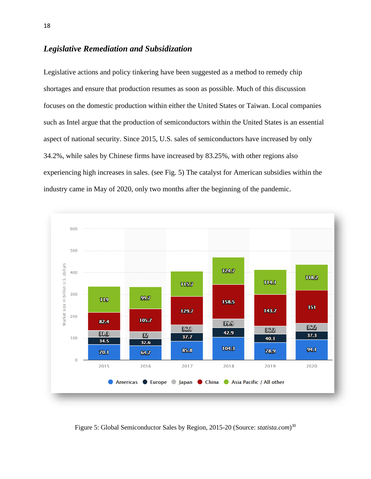## *Legislative Remediation and Subsidization*

Legislative actions and policy tinkering have been suggested as a method to remedy chip shortages and ensure that production resumes as soon as possible. Much of this discussion focuses on the domestic production within either the United States or Taiwan. Local companies such as Intel argue that the production of semiconductors within the United States is an essential aspect of national security. Since 2015, U.S. sales of semiconductors have increased by only 34.2%, while sales by Chinese firms have increased by 83.25%, with other regions also experiencing high increases in sales. (see Fig. 5) The catalyst for American subsidies within the industry came in May of 2020, only two months after the beginning of the pandemic.



Figure 5: Global Semiconductor Sales by Region, 2015-20 (Source: *statista.com*) 30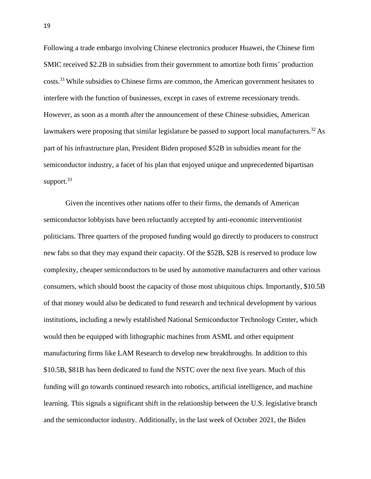Following a trade embargo involving Chinese electronics producer Huawei, the Chinese firm SMIC received \$2.2B in subsidies from their government to amortize both firms' production costs.<sup>31</sup> While subsidies to Chinese firms are common, the American government hesitates to interfere with the function of businesses, except in cases of extreme recessionary trends. However, as soon as a month after the announcement of these Chinese subsidies, American lawmakers were proposing that similar legislature be passed to support local manufacturers.<sup>32</sup> As part of his infrastructure plan, President Biden proposed \$52B in subsidies meant for the semiconductor industry, a facet of his plan that enjoyed unique and unprecedented bipartisan support.<sup>33</sup>

Given the incentives other nations offer to their firms, the demands of American semiconductor lobbyists have been reluctantly accepted by anti-economic interventionist politicians. Three quarters of the proposed funding would go directly to producers to construct new fabs so that they may expand their capacity. Of the \$52B, \$2B is reserved to produce low complexity, cheaper semiconductors to be used by automotive manufacturers and other various consumers, which should boost the capacity of those most ubiquitous chips. Importantly, \$10.5B of that money would also be dedicated to fund research and technical development by various institutions, including a newly established National Semiconductor Technology Center, which would then be equipped with lithographic machines from ASML and other equipment manufacturing firms like LAM Research to develop new breakthroughs. In addition to this \$10.5B, \$81B has been dedicated to fund the NSTC over the next five years. Much of this funding will go towards continued research into robotics, artificial intelligence, and machine learning. This signals a significant shift in the relationship between the U.S. legislative branch and the semiconductor industry. Additionally, in the last week of October 2021, the Biden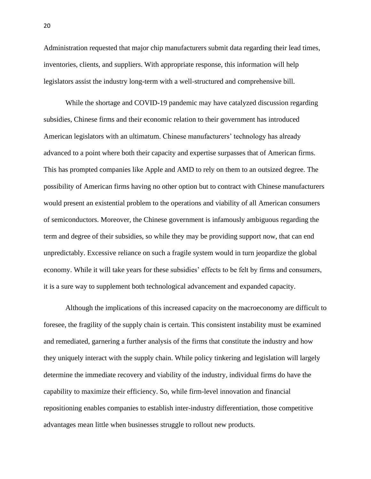Administration requested that major chip manufacturers submit data regarding their lead times, inventories, clients, and suppliers. With appropriate response, this information will help legislators assist the industry long-term with a well-structured and comprehensive bill.

While the shortage and COVID-19 pandemic may have catalyzed discussion regarding subsidies, Chinese firms and their economic relation to their government has introduced American legislators with an ultimatum. Chinese manufacturers' technology has already advanced to a point where both their capacity and expertise surpasses that of American firms. This has prompted companies like Apple and AMD to rely on them to an outsized degree. The possibility of American firms having no other option but to contract with Chinese manufacturers would present an existential problem to the operations and viability of all American consumers of semiconductors. Moreover, the Chinese government is infamously ambiguous regarding the term and degree of their subsidies, so while they may be providing support now, that can end unpredictably. Excessive reliance on such a fragile system would in turn jeopardize the global economy. While it will take years for these subsidies' effects to be felt by firms and consumers, it is a sure way to supplement both technological advancement and expanded capacity.

Although the implications of this increased capacity on the macroeconomy are difficult to foresee, the fragility of the supply chain is certain. This consistent instability must be examined and remediated, garnering a further analysis of the firms that constitute the industry and how they uniquely interact with the supply chain. While policy tinkering and legislation will largely determine the immediate recovery and viability of the industry, individual firms do have the capability to maximize their efficiency. So, while firm-level innovation and financial repositioning enables companies to establish inter-industry differentiation, those competitive advantages mean little when businesses struggle to rollout new products.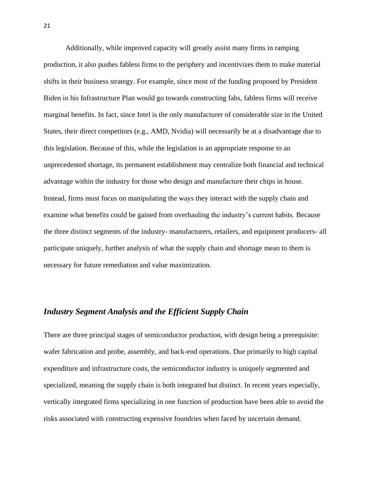Additionally, while improved capacity will greatly assist many firms in ramping production, it also pushes fabless firms to the periphery and incentivizes them to make material shifts in their business strategy. For example, since most of the funding proposed by President Biden in his Infrastructure Plan would go towards constructing fabs, fabless firms will receive marginal benefits. In fact, since Intel is the only manufacturer of considerable size in the United States, their direct competitors (e.g., AMD, Nvidia) will necessarily be at a disadvantage due to this legislation. Because of this, while the legislation is an appropriate response to an unprecedented shortage, its permanent establishment may centralize both financial and technical advantage within the industry for those who design and manufacture their chips in house. Instead, firms must focus on manipulating the ways they interact with the supply chain and examine what benefits could be gained from overhauling the industry's current habits. Because the three distinct segments of the industry- manufacturers, retailers, and equipment producers- all participate uniquely, further analysis of what the supply chain and shortage mean to them is necessary for future remediation and value maximization.

## *Industry Segment Analysis and the Efficient Supply Chain*

There are three principal stages of semiconductor production, with design being a prerequisite: wafer fabrication and probe, assembly, and back-end operations. Due primarily to high capital expenditure and infrastructure costs, the semiconductor industry is uniquely segmented and specialized, meaning the supply chain is both integrated but distinct. In recent years especially, vertically integrated firms specializing in one function of production have been able to avoid the risks associated with constructing expensive foundries when faced by uncertain demand.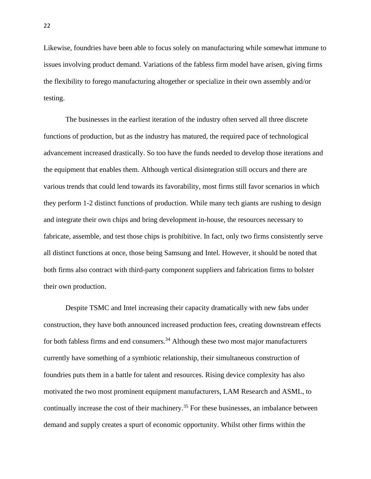Likewise, foundries have been able to focus solely on manufacturing while somewhat immune to issues involving product demand. Variations of the fabless firm model have arisen, giving firms the flexibility to forego manufacturing altogether or specialize in their own assembly and/or testing.

The businesses in the earliest iteration of the industry often served all three discrete functions of production, but as the industry has matured, the required pace of technological advancement increased drastically. So too have the funds needed to develop those iterations and the equipment that enables them. Although vertical disintegration still occurs and there are various trends that could lend towards its favorability, most firms still favor scenarios in which they perform 1-2 distinct functions of production. While many tech giants are rushing to design and integrate their own chips and bring development in-house, the resources necessary to fabricate, assemble, and test those chips is prohibitive. In fact, only two firms consistently serve all distinct functions at once, those being Samsung and Intel. However, it should be noted that both firms also contract with third-party component suppliers and fabrication firms to bolster their own production.

Despite TSMC and Intel increasing their capacity dramatically with new fabs under construction, they have both announced increased production fees, creating downstream effects for both fabless firms and end consumers.<sup>34</sup> Although these two most major manufacturers currently have something of a symbiotic relationship, their simultaneous construction of foundries puts them in a battle for talent and resources. Rising device complexity has also motivated the two most prominent equipment manufacturers, LAM Research and ASML, to continually increase the cost of their machinery.<sup>35</sup> For these businesses, an imbalance between demand and supply creates a spurt of economic opportunity. Whilst other firms within the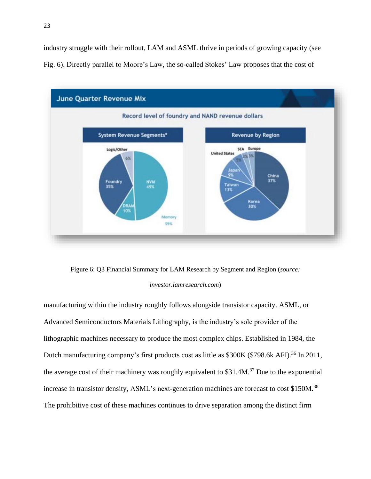industry struggle with their rollout, LAM and ASML thrive in periods of growing capacity (see Fig. 6). Directly parallel to Moore's Law, the so-called Stokes' Law proposes that the cost of



Figure 6: Q3 Financial Summary for LAM Research by Segment and Region (*source:* 

#### *investor.lamresearch.com*)

manufacturing within the industry roughly follows alongside transistor capacity. ASML, or Advanced Semiconductors Materials Lithography, is the industry's sole provider of the lithographic machines necessary to produce the most complex chips. Established in 1984, the Dutch manufacturing company's first products cost as little as \$300K (\$798.6k AFI).<sup>36</sup> In 2011, the average cost of their machinery was roughly equivalent to  $$31.4M.<sup>37</sup>$  Due to the exponential increase in transistor density, ASML's next-generation machines are forecast to cost \$150M.<sup>38</sup> The prohibitive cost of these machines continues to drive separation among the distinct firm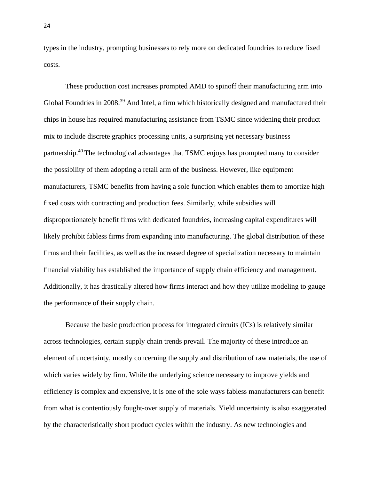types in the industry, prompting businesses to rely more on dedicated foundries to reduce fixed costs.

These production cost increases prompted AMD to spinoff their manufacturing arm into Global Foundries in 2008.<sup>39</sup> And Intel, a firm which historically designed and manufactured their chips in house has required manufacturing assistance from TSMC since widening their product mix to include discrete graphics processing units, a surprising yet necessary business partnership.<sup>40</sup>The technological advantages that TSMC enjoys has prompted many to consider the possibility of them adopting a retail arm of the business. However, like equipment manufacturers, TSMC benefits from having a sole function which enables them to amortize high fixed costs with contracting and production fees. Similarly, while subsidies will disproportionately benefit firms with dedicated foundries, increasing capital expenditures will likely prohibit fabless firms from expanding into manufacturing. The global distribution of these firms and their facilities, as well as the increased degree of specialization necessary to maintain financial viability has established the importance of supply chain efficiency and management. Additionally, it has drastically altered how firms interact and how they utilize modeling to gauge the performance of their supply chain.

Because the basic production process for integrated circuits (ICs) is relatively similar across technologies, certain supply chain trends prevail. The majority of these introduce an element of uncertainty, mostly concerning the supply and distribution of raw materials, the use of which varies widely by firm. While the underlying science necessary to improve yields and efficiency is complex and expensive, it is one of the sole ways fabless manufacturers can benefit from what is contentiously fought-over supply of materials. Yield uncertainty is also exaggerated by the characteristically short product cycles within the industry. As new technologies and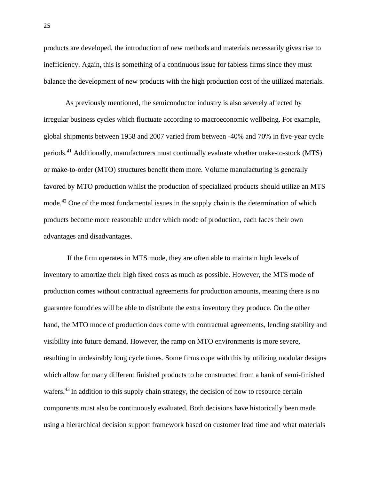products are developed, the introduction of new methods and materials necessarily gives rise to inefficiency. Again, this is something of a continuous issue for fabless firms since they must balance the development of new products with the high production cost of the utilized materials.

As previously mentioned, the semiconductor industry is also severely affected by irregular business cycles which fluctuate according to macroeconomic wellbeing. For example, global shipments between 1958 and 2007 varied from between -40% and 70% in five-year cycle periods.<sup>41</sup> Additionally, manufacturers must continually evaluate whether make-to-stock (MTS) or make-to-order (MTO) structures benefit them more. Volume manufacturing is generally favored by MTO production whilst the production of specialized products should utilize an MTS mode.<sup>42</sup> One of the most fundamental issues in the supply chain is the determination of which products become more reasonable under which mode of production, each faces their own advantages and disadvantages.

If the firm operates in MTS mode, they are often able to maintain high levels of inventory to amortize their high fixed costs as much as possible. However, the MTS mode of production comes without contractual agreements for production amounts, meaning there is no guarantee foundries will be able to distribute the extra inventory they produce. On the other hand, the MTO mode of production does come with contractual agreements, lending stability and visibility into future demand. However, the ramp on MTO environments is more severe, resulting in undesirably long cycle times. Some firms cope with this by utilizing modular designs which allow for many different finished products to be constructed from a bank of semi-finished wafers.<sup>43</sup> In addition to this supply chain strategy, the decision of how to resource certain components must also be continuously evaluated. Both decisions have historically been made using a hierarchical decision support framework based on customer lead time and what materials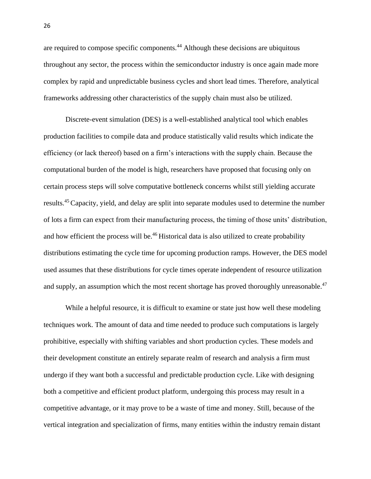are required to compose specific components.<sup>44</sup> Although these decisions are ubiquitous throughout any sector, the process within the semiconductor industry is once again made more complex by rapid and unpredictable business cycles and short lead times. Therefore, analytical frameworks addressing other characteristics of the supply chain must also be utilized.

Discrete-event simulation (DES) is a well-established analytical tool which enables production facilities to compile data and produce statistically valid results which indicate the efficiency (or lack thereof) based on a firm's interactions with the supply chain. Because the computational burden of the model is high, researchers have proposed that focusing only on certain process steps will solve computative bottleneck concerns whilst still yielding accurate results.<sup>45</sup>Capacity, yield, and delay are split into separate modules used to determine the number of lots a firm can expect from their manufacturing process, the timing of those units' distribution, and how efficient the process will be.<sup>46</sup> Historical data is also utilized to create probability distributions estimating the cycle time for upcoming production ramps. However, the DES model used assumes that these distributions for cycle times operate independent of resource utilization and supply, an assumption which the most recent shortage has proved thoroughly unreasonable.<sup>47</sup>

While a helpful resource, it is difficult to examine or state just how well these modeling techniques work. The amount of data and time needed to produce such computations is largely prohibitive, especially with shifting variables and short production cycles. These models and their development constitute an entirely separate realm of research and analysis a firm must undergo if they want both a successful and predictable production cycle. Like with designing both a competitive and efficient product platform, undergoing this process may result in a competitive advantage, or it may prove to be a waste of time and money. Still, because of the vertical integration and specialization of firms, many entities within the industry remain distant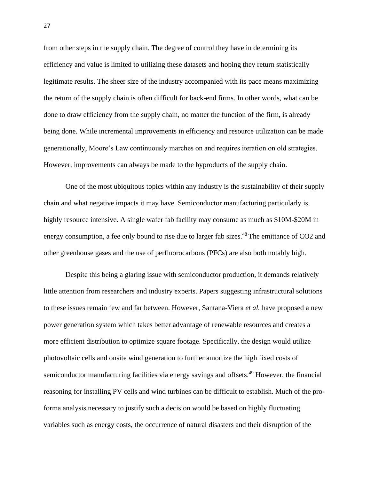from other steps in the supply chain. The degree of control they have in determining its efficiency and value is limited to utilizing these datasets and hoping they return statistically legitimate results. The sheer size of the industry accompanied with its pace means maximizing the return of the supply chain is often difficult for back-end firms. In other words, what can be done to draw efficiency from the supply chain, no matter the function of the firm, is already being done. While incremental improvements in efficiency and resource utilization can be made generationally, Moore's Law continuously marches on and requires iteration on old strategies. However, improvements can always be made to the byproducts of the supply chain.

One of the most ubiquitous topics within any industry is the sustainability of their supply chain and what negative impacts it may have. Semiconductor manufacturing particularly is highly resource intensive. A single wafer fab facility may consume as much as \$10M-\$20M in energy consumption, a fee only bound to rise due to larger fab sizes.<sup>48</sup> The emittance of CO2 and other greenhouse gases and the use of perfluorocarbons (PFCs) are also both notably high.

Despite this being a glaring issue with semiconductor production, it demands relatively little attention from researchers and industry experts. Papers suggesting infrastructural solutions to these issues remain few and far between. However, Santana-Viera *et al.* have proposed a new power generation system which takes better advantage of renewable resources and creates a more efficient distribution to optimize square footage. Specifically, the design would utilize photovoltaic cells and onsite wind generation to further amortize the high fixed costs of semiconductor manufacturing facilities via energy savings and offsets.<sup>49</sup> However, the financial reasoning for installing PV cells and wind turbines can be difficult to establish. Much of the proforma analysis necessary to justify such a decision would be based on highly fluctuating variables such as energy costs, the occurrence of natural disasters and their disruption of the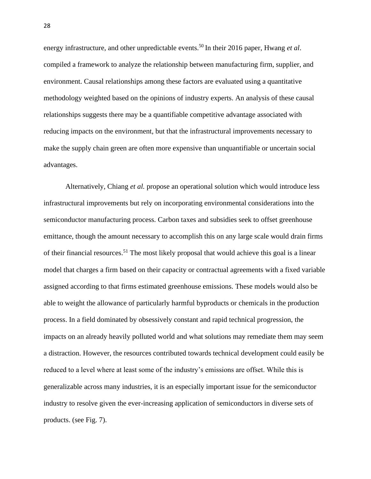energy infrastructure, and other unpredictable events.<sup>50</sup> In their 2016 paper, Hwang *et al.* compiled a framework to analyze the relationship between manufacturing firm, supplier, and environment. Causal relationships among these factors are evaluated using a quantitative methodology weighted based on the opinions of industry experts. An analysis of these causal relationships suggests there may be a quantifiable competitive advantage associated with reducing impacts on the environment, but that the infrastructural improvements necessary to make the supply chain green are often more expensive than unquantifiable or uncertain social advantages.

Alternatively, Chiang *et al.* propose an operational solution which would introduce less infrastructural improvements but rely on incorporating environmental considerations into the semiconductor manufacturing process. Carbon taxes and subsidies seek to offset greenhouse emittance, though the amount necessary to accomplish this on any large scale would drain firms of their financial resources.<sup>51</sup> The most likely proposal that would achieve this goal is a linear model that charges a firm based on their capacity or contractual agreements with a fixed variable assigned according to that firms estimated greenhouse emissions. These models would also be able to weight the allowance of particularly harmful byproducts or chemicals in the production process. In a field dominated by obsessively constant and rapid technical progression, the impacts on an already heavily polluted world and what solutions may remediate them may seem a distraction. However, the resources contributed towards technical development could easily be reduced to a level where at least some of the industry's emissions are offset. While this is generalizable across many industries, it is an especially important issue for the semiconductor industry to resolve given the ever-increasing application of semiconductors in diverse sets of products. (see Fig. 7).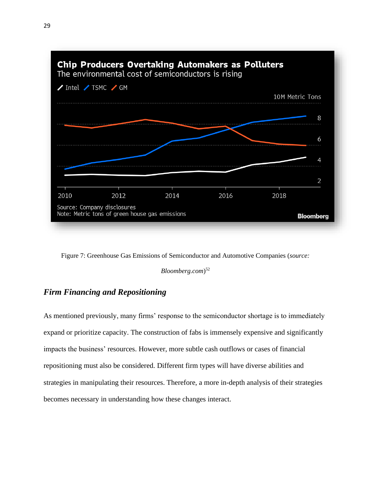

Figure 7: Greenhouse Gas Emissions of Semiconductor and Automotive Companies (*source:* 

*Bloomberg.com*) 52

## *Firm Financing and Repositioning*

As mentioned previously, many firms' response to the semiconductor shortage is to immediately expand or prioritize capacity. The construction of fabs is immensely expensive and significantly impacts the business' resources. However, more subtle cash outflows or cases of financial repositioning must also be considered. Different firm types will have diverse abilities and strategies in manipulating their resources. Therefore, a more in-depth analysis of their strategies becomes necessary in understanding how these changes interact.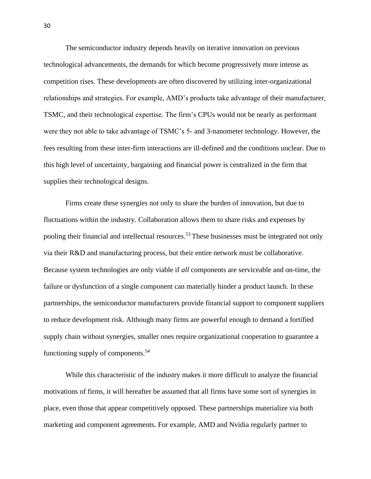The semiconductor industry depends heavily on iterative innovation on previous technological advancements, the demands for which become progressively more intense as competition rises. These developments are often discovered by utilizing inter-organizational relationships and strategies. For example, AMD's products take advantage of their manufacturer, TSMC, and their technological expertise. The firm's CPUs would not be nearly as performant were they not able to take advantage of TSMC's 5- and 3-nanometer technology. However, the fees resulting from these inter-firm interactions are ill-defined and the conditions unclear. Due to this high level of uncertainty, bargaining and financial power is centralized in the firm that supplies their technological designs.

Firms create these synergies not only to share the burden of innovation, but due to fluctuations within the industry. Collaboration allows them to share risks and expenses by pooling their financial and intellectual resources.<sup>53</sup> These businesses must be integrated not only via their R&D and manufacturing process, but their entire network must be collaborative. Because system technologies are only viable if *all* components are serviceable and on-time, the failure or dysfunction of a single component can materially hinder a product launch. In these partnerships, the semiconductor manufacturers provide financial support to component suppliers to reduce development risk. Although many firms are powerful enough to demand a fortified supply chain without synergies, smaller ones require organizational cooperation to guarantee a functioning supply of components.<sup>54</sup>

While this characteristic of the industry makes it more difficult to analyze the financial motivations of firms, it will hereafter be assumed that all firms have some sort of synergies in place, even those that appear competitively opposed. These partnerships materialize via both marketing and component agreements. For example, AMD and Nvidia regularly partner to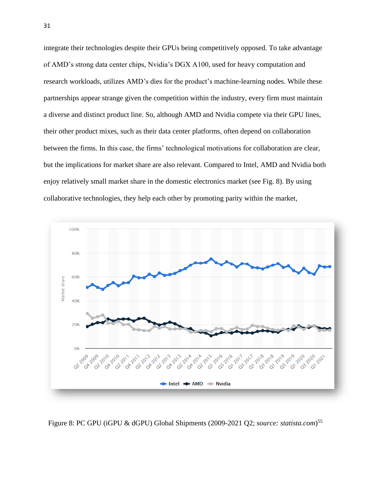integrate their technologies despite their GPUs being competitively opposed. To take advantage of AMD's strong data center chips, Nvidia's DGX A100, used for heavy computation and research workloads, utilizes AMD's dies for the product's machine-learning nodes. While these partnerships appear strange given the competition within the industry, every firm must maintain a diverse and distinct product line. So, although AMD and Nvidia compete via their GPU lines, their other product mixes, such as their data center platforms, often depend on collaboration between the firms. In this case, the firms' technological motivations for collaboration are clear, but the implications for market share are also relevant. Compared to Intel, AMD and Nvidia both enjoy relatively small market share in the domestic electronics market (see Fig. 8). By using collaborative technologies, they help each other by promoting parity within the market,



Figure 8: PC GPU (iGPU & dGPU) Global Shipments (2009-2021 Q2; *source: statista.com*) 55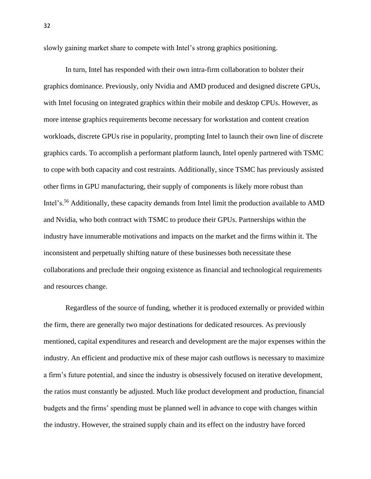slowly gaining market share to compete with Intel's strong graphics positioning.

In turn, Intel has responded with their own intra-firm collaboration to bolster their graphics dominance. Previously, only Nvidia and AMD produced and designed discrete GPUs, with Intel focusing on integrated graphics within their mobile and desktop CPUs. However, as more intense graphics requirements become necessary for workstation and content creation workloads, discrete GPUs rise in popularity, prompting Intel to launch their own line of discrete graphics cards. To accomplish a performant platform launch, Intel openly partnered with TSMC to cope with both capacity and cost restraints. Additionally, since TSMC has previously assisted other firms in GPU manufacturing, their supply of components is likely more robust than Intel's.<sup>56</sup> Additionally, these capacity demands from Intel limit the production available to AMD and Nvidia, who both contract with TSMC to produce their GPUs. Partnerships within the industry have innumerable motivations and impacts on the market and the firms within it. The inconsistent and perpetually shifting nature of these businesses both necessitate these collaborations and preclude their ongoing existence as financial and technological requirements and resources change.

Regardless of the source of funding, whether it is produced externally or provided within the firm, there are generally two major destinations for dedicated resources. As previously mentioned, capital expenditures and research and development are the major expenses within the industry. An efficient and productive mix of these major cash outflows is necessary to maximize a firm's future potential, and since the industry is obsessively focused on iterative development, the ratios must constantly be adjusted. Much like product development and production, financial budgets and the firms' spending must be planned well in advance to cope with changes within the industry. However, the strained supply chain and its effect on the industry have forced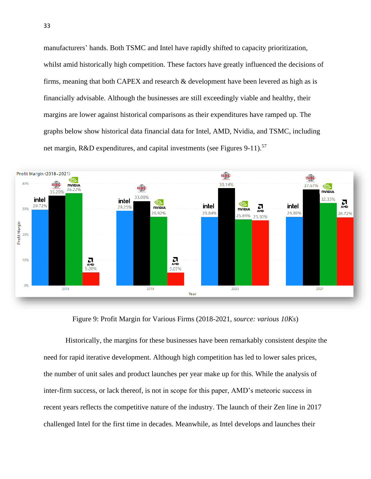manufacturers' hands. Both TSMC and Intel have rapidly shifted to capacity prioritization, whilst amid historically high competition. These factors have greatly influenced the decisions of firms, meaning that both CAPEX and research & development have been levered as high as is financially advisable. Although the businesses are still exceedingly viable and healthy, their margins are lower against historical comparisons as their expenditures have ramped up. The graphs below show historical data financial data for Intel, AMD, Nvidia, and TSMC, including net margin, R&D expenditures, and capital investments (see Figures 9-11).<sup>57</sup>



Figure 9: Profit Margin for Various Firms (2018-2021, *source: various 10Ks*)

Historically, the margins for these businesses have been remarkably consistent despite the need for rapid iterative development. Although high competition has led to lower sales prices, the number of unit sales and product launches per year make up for this. While the analysis of inter-firm success, or lack thereof, is not in scope for this paper, AMD's meteoric success in recent years reflects the competitive nature of the industry. The launch of their Zen line in 2017 challenged Intel for the first time in decades. Meanwhile, as Intel develops and launches their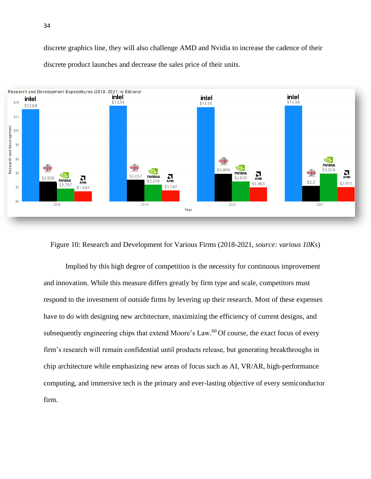discrete graphics line, they will also challenge AMD and Nvidia to increase the cadence of their discrete product launches and decrease the sales price of their units.



Figure 10: Research and Development for Various Firms (2018-2021, *source: various 10Ks*)

Implied by this high degree of competition is the necessity for continuous improvement and innovation. While this measure differs greatly by firm type and scale, competitors must respond to the investment of outside firms by levering up their research. Most of these expenses have to do with designing new architecture, maximizing the efficiency of current designs, and subsequently engineering chips that extend Moore's Law.<sup>60</sup> Of course, the exact focus of every firm's research will remain confidential until products release, but generating breakthroughs in chip architecture while emphasizing new areas of focus such as AI, VR/AR, high-performance computing, and immersive tech is the primary and ever-lasting objective of every semiconductor firm.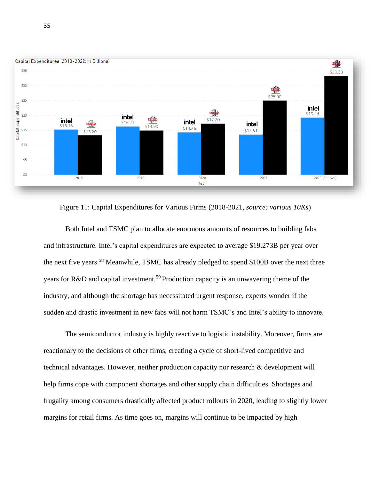

Figure 11: Capital Expenditures for Various Firms (2018-2021, *source: various 10Ks*)

Both Intel and TSMC plan to allocate enormous amounts of resources to building fabs and infrastructure. Intel's capital expenditures are expected to average \$19.273B per year over the next five years.<sup>58</sup> Meanwhile, TSMC has already pledged to spend \$100B over the next three years for R&D and capital investment.<sup>59</sup> Production capacity is an unwavering theme of the industry, and although the shortage has necessitated urgent response, experts wonder if the sudden and drastic investment in new fabs will not harm TSMC's and Intel's ability to innovate.

The semiconductor industry is highly reactive to logistic instability. Moreover, firms are reactionary to the decisions of other firms, creating a cycle of short-lived competitive and technical advantages. However, neither production capacity nor research & development will help firms cope with component shortages and other supply chain difficulties. Shortages and frugality among consumers drastically affected product rollouts in 2020, leading to slightly lower margins for retail firms. As time goes on, margins will continue to be impacted by high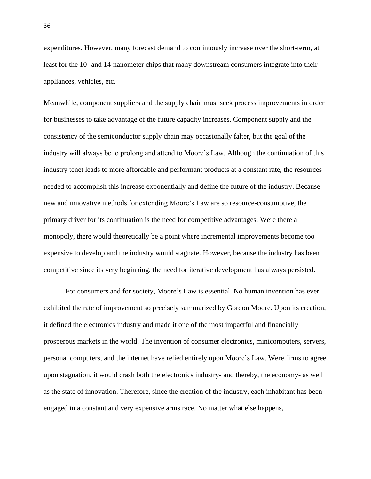expenditures. However, many forecast demand to continuously increase over the short-term, at least for the 10- and 14-nanometer chips that many downstream consumers integrate into their appliances, vehicles, etc.

Meanwhile, component suppliers and the supply chain must seek process improvements in order for businesses to take advantage of the future capacity increases. Component supply and the consistency of the semiconductor supply chain may occasionally falter, but the goal of the industry will always be to prolong and attend to Moore's Law. Although the continuation of this industry tenet leads to more affordable and performant products at a constant rate, the resources needed to accomplish this increase exponentially and define the future of the industry. Because new and innovative methods for extending Moore's Law are so resource-consumptive, the primary driver for its continuation is the need for competitive advantages. Were there a monopoly, there would theoretically be a point where incremental improvements become too expensive to develop and the industry would stagnate. However, because the industry has been competitive since its very beginning, the need for iterative development has always persisted.

For consumers and for society, Moore's Law is essential. No human invention has ever exhibited the rate of improvement so precisely summarized by Gordon Moore. Upon its creation, it defined the electronics industry and made it one of the most impactful and financially prosperous markets in the world. The invention of consumer electronics, minicomputers, servers, personal computers, and the internet have relied entirely upon Moore's Law. Were firms to agree upon stagnation, it would crash both the electronics industry- and thereby, the economy- as well as the state of innovation. Therefore, since the creation of the industry, each inhabitant has been engaged in a constant and very expensive arms race. No matter what else happens,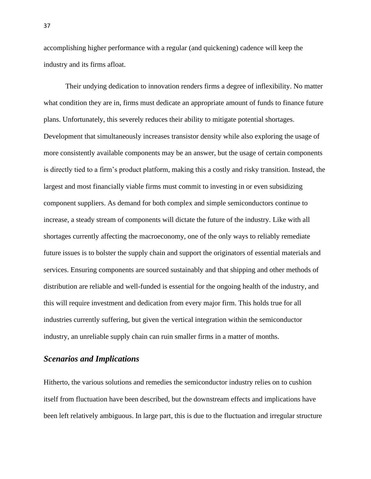accomplishing higher performance with a regular (and quickening) cadence will keep the industry and its firms afloat.

Their undying dedication to innovation renders firms a degree of inflexibility. No matter what condition they are in, firms must dedicate an appropriate amount of funds to finance future plans. Unfortunately, this severely reduces their ability to mitigate potential shortages. Development that simultaneously increases transistor density while also exploring the usage of more consistently available components may be an answer, but the usage of certain components is directly tied to a firm's product platform, making this a costly and risky transition. Instead, the largest and most financially viable firms must commit to investing in or even subsidizing component suppliers. As demand for both complex and simple semiconductors continue to increase, a steady stream of components will dictate the future of the industry. Like with all shortages currently affecting the macroeconomy, one of the only ways to reliably remediate future issues is to bolster the supply chain and support the originators of essential materials and services. Ensuring components are sourced sustainably and that shipping and other methods of distribution are reliable and well-funded is essential for the ongoing health of the industry, and this will require investment and dedication from every major firm. This holds true for all industries currently suffering, but given the vertical integration within the semiconductor industry, an unreliable supply chain can ruin smaller firms in a matter of months.

#### *Scenarios and Implications*

Hitherto, the various solutions and remedies the semiconductor industry relies on to cushion itself from fluctuation have been described, but the downstream effects and implications have been left relatively ambiguous. In large part, this is due to the fluctuation and irregular structure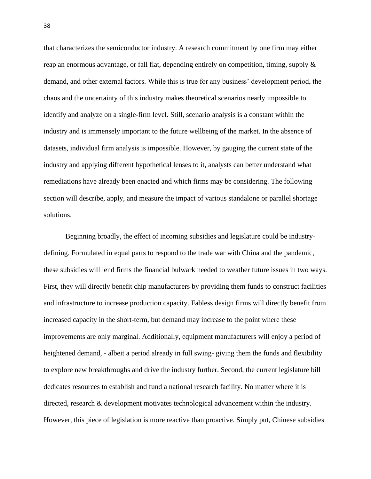that characterizes the semiconductor industry. A research commitment by one firm may either reap an enormous advantage, or fall flat, depending entirely on competition, timing, supply & demand, and other external factors. While this is true for any business' development period, the chaos and the uncertainty of this industry makes theoretical scenarios nearly impossible to identify and analyze on a single-firm level. Still, scenario analysis is a constant within the industry and is immensely important to the future wellbeing of the market. In the absence of datasets, individual firm analysis is impossible. However, by gauging the current state of the industry and applying different hypothetical lenses to it, analysts can better understand what remediations have already been enacted and which firms may be considering. The following section will describe, apply, and measure the impact of various standalone or parallel shortage solutions.

Beginning broadly, the effect of incoming subsidies and legislature could be industrydefining. Formulated in equal parts to respond to the trade war with China and the pandemic, these subsidies will lend firms the financial bulwark needed to weather future issues in two ways. First, they will directly benefit chip manufacturers by providing them funds to construct facilities and infrastructure to increase production capacity. Fabless design firms will directly benefit from increased capacity in the short-term, but demand may increase to the point where these improvements are only marginal. Additionally, equipment manufacturers will enjoy a period of heightened demand, - albeit a period already in full swing- giving them the funds and flexibility to explore new breakthroughs and drive the industry further. Second, the current legislature bill dedicates resources to establish and fund a national research facility. No matter where it is directed, research & development motivates technological advancement within the industry. However, this piece of legislation is more reactive than proactive. Simply put, Chinese subsidies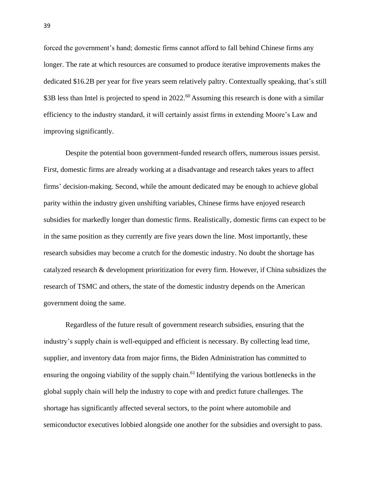forced the government's hand; domestic firms cannot afford to fall behind Chinese firms any longer. The rate at which resources are consumed to produce iterative improvements makes the dedicated \$16.2B per year for five years seem relatively paltry. Contextually speaking, that's still \$3B less than Intel is projected to spend in 2022.<sup>60</sup> Assuming this research is done with a similar efficiency to the industry standard, it will certainly assist firms in extending Moore's Law and improving significantly.

Despite the potential boon government-funded research offers, numerous issues persist. First, domestic firms are already working at a disadvantage and research takes years to affect firms' decision-making. Second, while the amount dedicated may be enough to achieve global parity within the industry given unshifting variables, Chinese firms have enjoyed research subsidies for markedly longer than domestic firms. Realistically, domestic firms can expect to be in the same position as they currently are five years down the line. Most importantly, these research subsidies may become a crutch for the domestic industry. No doubt the shortage has catalyzed research & development prioritization for every firm. However, if China subsidizes the research of TSMC and others, the state of the domestic industry depends on the American government doing the same.

Regardless of the future result of government research subsidies, ensuring that the industry's supply chain is well-equipped and efficient is necessary. By collecting lead time, supplier, and inventory data from major firms, the Biden Administration has committed to ensuring the ongoing viability of the supply chain.<sup>61</sup> Identifying the various bottlenecks in the global supply chain will help the industry to cope with and predict future challenges. The shortage has significantly affected several sectors, to the point where automobile and semiconductor executives lobbied alongside one another for the subsidies and oversight to pass.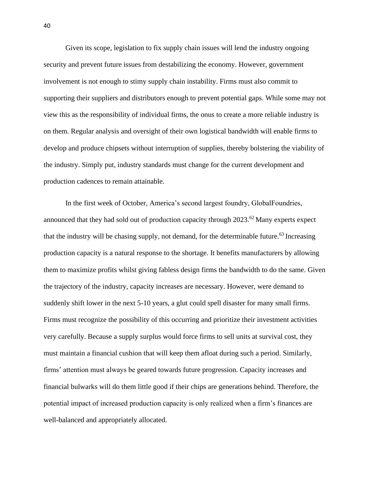Given its scope, legislation to fix supply chain issues will lend the industry ongoing security and prevent future issues from destabilizing the economy. However, government involvement is not enough to stimy supply chain instability. Firms must also commit to supporting their suppliers and distributors enough to prevent potential gaps. While some may not view this as the responsibility of individual firms, the onus to create a more reliable industry is on them. Regular analysis and oversight of their own logistical bandwidth will enable firms to develop and produce chipsets without interruption of supplies, thereby bolstering the viability of the industry. Simply put, industry standards must change for the current development and production cadences to remain attainable.

In the first week of October, America's second largest foundry, GlobalFoundries, announced that they had sold out of production capacity through  $2023<sup>62</sup>$  Many experts expect that the industry will be chasing supply, not demand, for the determinable future.<sup>63</sup> Increasing production capacity is a natural response to the shortage. It benefits manufacturers by allowing them to maximize profits whilst giving fabless design firms the bandwidth to do the same. Given the trajectory of the industry, capacity increases are necessary. However, were demand to suddenly shift lower in the next 5-10 years, a glut could spell disaster for many small firms. Firms must recognize the possibility of this occurring and prioritize their investment activities very carefully. Because a supply surplus would force firms to sell units at survival cost, they must maintain a financial cushion that will keep them afloat during such a period. Similarly, firms' attention must always be geared towards future progression. Capacity increases and financial bulwarks will do them little good if their chips are generations behind. Therefore, the potential impact of increased production capacity is only realized when a firm's finances are well-balanced and appropriately allocated.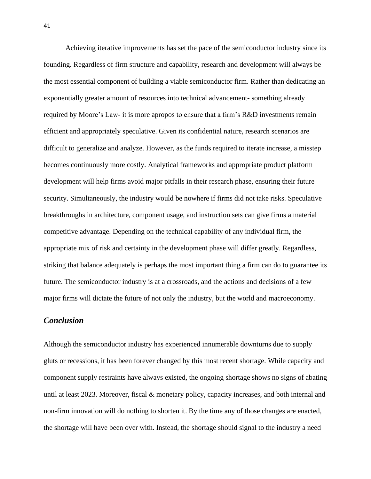Achieving iterative improvements has set the pace of the semiconductor industry since its founding. Regardless of firm structure and capability, research and development will always be the most essential component of building a viable semiconductor firm. Rather than dedicating an exponentially greater amount of resources into technical advancement- something already required by Moore's Law- it is more apropos to ensure that a firm's R&D investments remain efficient and appropriately speculative. Given its confidential nature, research scenarios are difficult to generalize and analyze. However, as the funds required to iterate increase, a misstep becomes continuously more costly. Analytical frameworks and appropriate product platform development will help firms avoid major pitfalls in their research phase, ensuring their future security. Simultaneously, the industry would be nowhere if firms did not take risks. Speculative breakthroughs in architecture, component usage, and instruction sets can give firms a material competitive advantage. Depending on the technical capability of any individual firm, the appropriate mix of risk and certainty in the development phase will differ greatly. Regardless, striking that balance adequately is perhaps the most important thing a firm can do to guarantee its future. The semiconductor industry is at a crossroads, and the actions and decisions of a few major firms will dictate the future of not only the industry, but the world and macroeconomy.

### *Conclusion*

Although the semiconductor industry has experienced innumerable downturns due to supply gluts or recessions, it has been forever changed by this most recent shortage. While capacity and component supply restraints have always existed, the ongoing shortage shows no signs of abating until at least 2023. Moreover, fiscal & monetary policy, capacity increases, and both internal and non-firm innovation will do nothing to shorten it. By the time any of those changes are enacted, the shortage will have been over with. Instead, the shortage should signal to the industry a need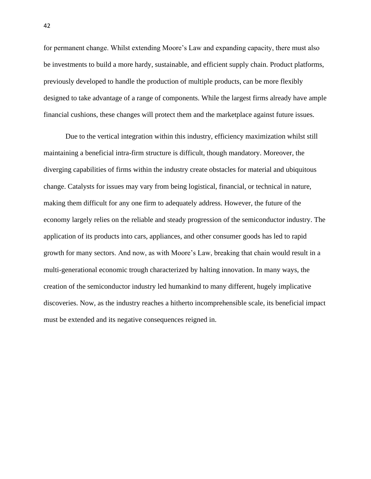for permanent change. Whilst extending Moore's Law and expanding capacity, there must also be investments to build a more hardy, sustainable, and efficient supply chain. Product platforms, previously developed to handle the production of multiple products, can be more flexibly designed to take advantage of a range of components. While the largest firms already have ample financial cushions, these changes will protect them and the marketplace against future issues.

Due to the vertical integration within this industry, efficiency maximization whilst still maintaining a beneficial intra-firm structure is difficult, though mandatory. Moreover, the diverging capabilities of firms within the industry create obstacles for material and ubiquitous change. Catalysts for issues may vary from being logistical, financial, or technical in nature, making them difficult for any one firm to adequately address. However, the future of the economy largely relies on the reliable and steady progression of the semiconductor industry. The application of its products into cars, appliances, and other consumer goods has led to rapid growth for many sectors. And now, as with Moore's Law, breaking that chain would result in a multi-generational economic trough characterized by halting innovation. In many ways, the creation of the semiconductor industry led humankind to many different, hugely implicative discoveries. Now, as the industry reaches a hitherto incomprehensible scale, its beneficial impact must be extended and its negative consequences reigned in.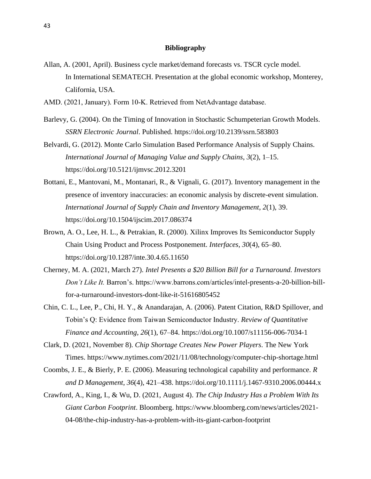#### **Bibliography**

- Allan, A. (2001, April). Business cycle market/demand forecasts vs. TSCR cycle model. In International SEMATECH. Presentation at the global economic workshop, Monterey, California, USA.
- AMD. (2021, January). Form 10‐K. Retrieved from NetAdvantage database.
- Barlevy, G. (2004). On the Timing of Innovation in Stochastic Schumpeterian Growth Models. *SSRN Electronic Journal*. Published. https://doi.org/10.2139/ssrn.583803
- Belvardi, G. (2012). Monte Carlo Simulation Based Performance Analysis of Supply Chains. *International Journal of Managing Value and Supply Chains*, *3*(2), 1–15. https://doi.org/10.5121/ijmvsc.2012.3201
- Bottani, E., Mantovani, M., Montanari, R., & Vignali, G. (2017). Inventory management in the presence of inventory inaccuracies: an economic analysis by discrete-event simulation. *International Journal of Supply Chain and Inventory Management*, *2*(1), 39. https://doi.org/10.1504/ijscim.2017.086374
- Brown, A. O., Lee, H. L., & Petrakian, R. (2000). Xilinx Improves Its Semiconductor Supply Chain Using Product and Process Postponement. *Interfaces*, *30*(4), 65–80. https://doi.org/10.1287/inte.30.4.65.11650
- Cherney, M. A. (2021, March 27). *Intel Presents a \$20 Billion Bill for a Turnaround. Investors Don't Like It.* Barron's. https://www.barrons.com/articles/intel-presents-a-20-billion-billfor-a-turnaround-investors-dont-like-it-51616805452
- Chin, C. L., Lee, P., Chi, H. Y., & Anandarajan, A. (2006). Patent Citation, R&D Spillover, and Tobin's Q: Evidence from Taiwan Semiconductor Industry. *Review of Quantitative Finance and Accounting*, *26*(1), 67–84. https://doi.org/10.1007/s11156-006-7034-1
- Clark, D. (2021, November 8). *Chip Shortage Creates New Power Players*. The New York Times. https://www.nytimes.com/2021/11/08/technology/computer-chip-shortage.html
- Coombs, J. E., & Bierly, P. E. (2006). Measuring technological capability and performance. *R and D Management*, *36*(4), 421–438. https://doi.org/10.1111/j.1467-9310.2006.00444.x
- Crawford, A., King, I., & Wu, D. (2021, August 4). *The Chip Industry Has a Problem With Its Giant Carbon Footprint*. Bloomberg. https://www.bloomberg.com/news/articles/2021- 04-08/the-chip-industry-has-a-problem-with-its-giant-carbon-footprint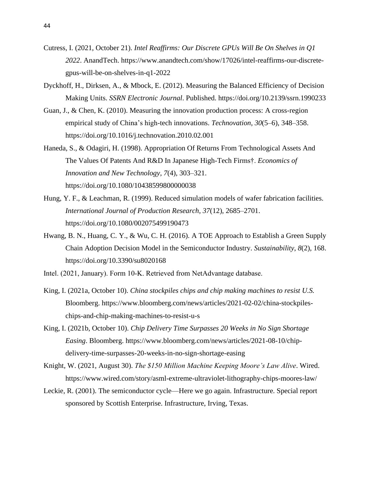- Cutress, I. (2021, October 21). *Intel Reaffirms: Our Discrete GPUs Will Be On Shelves in Q1 2022*. AnandTech. https://www.anandtech.com/show/17026/intel-reaffirms-our-discretegpus-will-be-on-shelves-in-q1-2022
- Dyckhoff, H., Dirksen, A., & Mbock, E. (2012). Measuring the Balanced Efficiency of Decision Making Units. *SSRN Electronic Journal*. Published. https://doi.org/10.2139/ssrn.1990233
- Guan, J., & Chen, K. (2010). Measuring the innovation production process: A cross-region empirical study of China's high-tech innovations. *Technovation*, *30*(5–6), 348–358. https://doi.org/10.1016/j.technovation.2010.02.001
- Haneda, S., & Odagiri, H. (1998). Appropriation Of Returns From Technological Assets And The Values Of Patents And R&D In Japanese High-Tech Firms†. *Economics of Innovation and New Technology*, *7*(4), 303–321. https://doi.org/10.1080/10438599800000038
- Hung, Y. F., & Leachman, R. (1999). Reduced simulation models of wafer fabrication facilities. *International Journal of Production Research*, *37*(12), 2685–2701. https://doi.org/10.1080/002075499190473
- Hwang, B. N., Huang, C. Y., & Wu, C. H. (2016). A TOE Approach to Establish a Green Supply Chain Adoption Decision Model in the Semiconductor Industry. *Sustainability*, *8*(2), 168. https://doi.org/10.3390/su8020168
- Intel. (2021, January). Form 10‐K. Retrieved from NetAdvantage database.
- King, I. (2021a, October 10). *China stockpiles chips and chip making machines to resist U.S.* Bloomberg. https://www.bloomberg.com/news/articles/2021-02-02/china-stockpileschips-and-chip-making-machines-to-resist-u-s
- King, I. (2021b, October 10). *Chip Delivery Time Surpasses 20 Weeks in No Sign Shortage Easing*. Bloomberg. https://www.bloomberg.com/news/articles/2021-08-10/chipdelivery-time-surpasses-20-weeks-in-no-sign-shortage-easing
- Knight, W. (2021, August 30). *The \$150 Million Machine Keeping Moore's Law Alive*. Wired. https://www.wired.com/story/asml-extreme-ultraviolet-lithography-chips-moores-law/
- Leckie, R. (2001). The semiconductor cycle—Here we go again. Infrastructure. Special report sponsored by Scottish Enterprise. Infrastructure, Irving, Texas.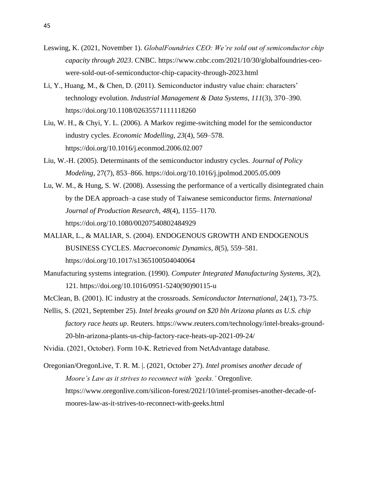- Leswing, K. (2021, November 1). *GlobalFoundries CEO: We're sold out of semiconductor chip capacity through 2023*. CNBC. https://www.cnbc.com/2021/10/30/globalfoundries-ceowere-sold-out-of-semiconductor-chip-capacity-through-2023.html
- Li, Y., Huang, M., & Chen, D. (2011). Semiconductor industry value chain: characters' technology evolution. *Industrial Management & Data Systems*, *111*(3), 370–390. https://doi.org/10.1108/02635571111118260
- Liu, W. H., & Chyi, Y. L. (2006). A Markov regime-switching model for the semiconductor industry cycles. *Economic Modelling*, *23*(4), 569–578. https://doi.org/10.1016/j.econmod.2006.02.007
- Liu, W.-H. (2005). Determinants of the semiconductor industry cycles. *Journal of Policy Modeling*, 27(7), 853–866. https://doi.org/10.1016/j.jpolmod.2005.05.009
- Lu, W. M., & Hung, S. W. (2008). Assessing the performance of a vertically disintegrated chain by the DEA approach–a case study of Taiwanese semiconductor firms. *International Journal of Production Research*, *48*(4), 1155–1170. https://doi.org/10.1080/00207540802484929
- MALIAR, L., & MALIAR, S. (2004). ENDOGENOUS GROWTH AND ENDOGENOUS BUSINESS CYCLES. *Macroeconomic Dynamics*, *8*(5), 559–581. https://doi.org/10.1017/s1365100504040064
- Manufacturing systems integration. (1990). *Computer Integrated Manufacturing Systems*, *3*(2), 121. https://doi.org/10.1016/0951-5240(90)90115-u
- McClean, B. (2001). IC industry at the crossroads. *Semiconductor International*, 24(1), 73-75.
- Nellis, S. (2021, September 25). *Intel breaks ground on \$20 bln Arizona plants as U.S. chip factory race heats up*. Reuters. https://www.reuters.com/technology/intel-breaks-ground-20-bln-arizona-plants-us-chip-factory-race-heats-up-2021-09-24/

Nvidia. (2021, October). Form 10‐K. Retrieved from NetAdvantage database.

Oregonian/OregonLive, T. R. M. |. (2021, October 27). *Intel promises another decade of Moore's Law as it strives to reconnect with 'geeks.'* Oregonlive. https://www.oregonlive.com/silicon-forest/2021/10/intel-promises-another-decade-ofmoores-law-as-it-strives-to-reconnect-with-geeks.html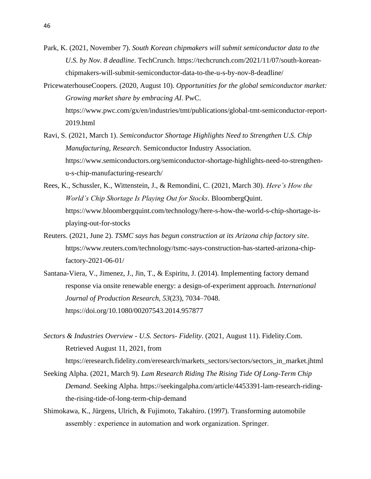- Park, K. (2021, November 7). *South Korean chipmakers will submit semiconductor data to the U.S. by Nov. 8 deadline*. TechCrunch. https://techcrunch.com/2021/11/07/south-koreanchipmakers-will-submit-semiconductor-data-to-the-u-s-by-nov-8-deadline/
- PricewaterhouseCoopers. (2020, August 10). *Opportunities for the global semiconductor market: Growing market share by embracing AI*. PwC. https://www.pwc.com/gx/en/industries/tmt/publications/global-tmt-semiconductor-report-2019.html
- Ravi, S. (2021, March 1). *Semiconductor Shortage Highlights Need to Strengthen U.S. Chip Manufacturing, Research*. Semiconductor Industry Association. https://www.semiconductors.org/semiconductor-shortage-highlights-need-to-strengthenu-s-chip-manufacturing-research/
- Rees, K., Schussler, K., Wittenstein, J., & Remondini, C. (2021, March 30). *Here's How the World's Chip Shortage Is Playing Out for Stocks*. BloombergQuint. https://www.bloombergquint.com/technology/here-s-how-the-world-s-chip-shortage-isplaying-out-for-stocks
- Reuters. (2021, June 2). *TSMC says has begun construction at its Arizona chip factory site*. https://www.reuters.com/technology/tsmc-says-construction-has-started-arizona-chipfactory-2021-06-01/
- Santana-Viera, V., Jimenez, J., Jin, T., & Espiritu, J. (2014). Implementing factory demand response via onsite renewable energy: a design-of-experiment approach. *International Journal of Production Research*, *53*(23), 7034–7048. https://doi.org/10.1080/00207543.2014.957877
- *Sectors & Industries Overview - U.S. Sectors- Fidelity*. (2021, August 11). Fidelity.Com. Retrieved August 11, 2021, from
	- https://eresearch.fidelity.com/eresearch/markets\_sectors/sectors/sectors\_in\_market.jhtml
- Seeking Alpha. (2021, March 9). *Lam Research Riding The Rising Tide Of Long-Term Chip Demand*. Seeking Alpha. https://seekingalpha.com/article/4453391-lam-research-ridingthe-rising-tide-of-long-term-chip-demand
- Shimokawa, K., Jürgens, Ulrich, & Fujimoto, Takahiro. (1997). Transforming automobile assembly : experience in automation and work organization. Springer.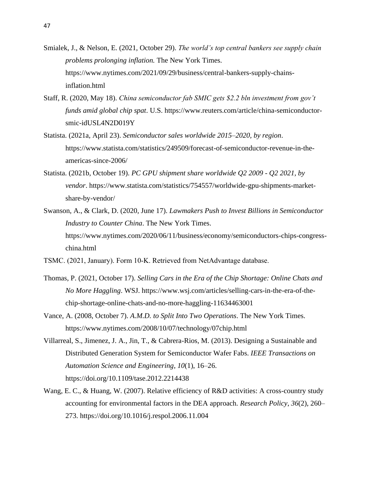- Smialek, J., & Nelson, E. (2021, October 29). *The world's top central bankers see supply chain problems prolonging inflation.* The New York Times. https://www.nytimes.com/2021/09/29/business/central-bankers-supply-chainsinflation.html
- Staff, R. (2020, May 18). *China semiconductor fab SMIC gets \$2.2 bln investment from gov't funds amid global chip spat*. U.S. https://www.reuters.com/article/china-semiconductorsmic-idUSL4N2D019Y
- Statista. (2021a, April 23). *Semiconductor sales worldwide 2015–2020, by region*. https://www.statista.com/statistics/249509/forecast-of-semiconductor-revenue-in-theamericas-since-2006/
- Statista. (2021b, October 19). *PC GPU shipment share worldwide Q2 2009 - Q2 2021, by vendor*. https://www.statista.com/statistics/754557/worldwide-gpu-shipments-marketshare-by-vendor/
- Swanson, A., & Clark, D. (2020, June 17). *Lawmakers Push to Invest Billions in Semiconductor Industry to Counter China*. The New York Times. https://www.nytimes.com/2020/06/11/business/economy/semiconductors-chips-congresschina.html
- TSMC. (2021, January). Form 10‐K. Retrieved from NetAdvantage database.
- Thomas, P. (2021, October 17). *Selling Cars in the Era of the Chip Shortage: Online Chats and No More Haggling*. WSJ. https://www.wsj.com/articles/selling-cars-in-the-era-of-thechip-shortage-online-chats-and-no-more-haggling-11634463001
- Vance, A. (2008, October 7). *A.M.D. to Split Into Two Operations*. The New York Times. https://www.nytimes.com/2008/10/07/technology/07chip.html
- Villarreal, S., Jimenez, J. A., Jin, T., & Cabrera-Rios, M. (2013). Designing a Sustainable and Distributed Generation System for Semiconductor Wafer Fabs. *IEEE Transactions on Automation Science and Engineering*, *10*(1), 16–26. https://doi.org/10.1109/tase.2012.2214438
- Wang, E. C., & Huang, W. (2007). Relative efficiency of R&D activities: A cross-country study accounting for environmental factors in the DEA approach. *Research Policy*, *36*(2), 260– 273. https://doi.org/10.1016/j.respol.2006.11.004